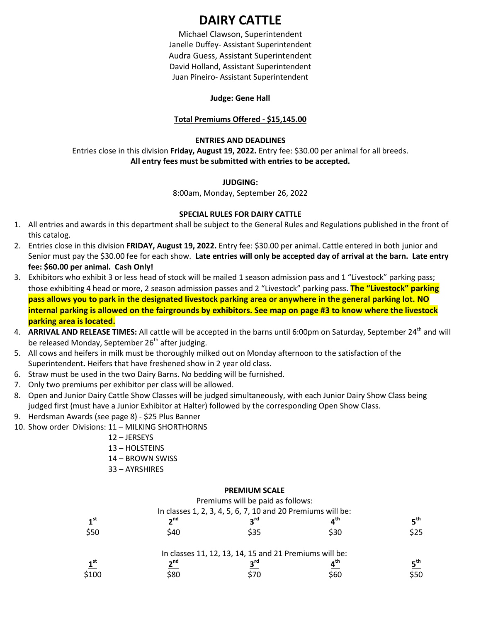# **DAIRY CATTLE**

Michael Clawson, Superintendent Janelle Duffey- Assistant Superintendent Audra Guess, Assistant Superintendent David Holland, Assistant Superintendent Juan Pineiro- Assistant Superintendent

#### **Judge: Gene Hall**

### **Total Premiums Offered - \$15,145.00**

### **ENTRIES AND DEADLINES**

Entries close in this division **Friday, August 19, 2022.** Entry fee: \$30.00 per animal for all breeds. **All entry fees must be submitted with entries to be accepted.**

### **JUDGING:**

8:00am, Monday, September 26, 2022

### **SPECIAL RULES FOR DAIRY CATTLE**

- 1. All entries and awards in this department shall be subject to the General Rules and Regulations published in the front of this catalog.
- 2. Entries close in this division **FRIDAY, August 19, 2022.** Entry fee: \$30.00 per animal. Cattle entered in both junior and Senior must pay the \$30.00 fee for each show. **Late entries will only be accepted day of arrival at the barn. Late entry fee: \$60.00 per animal. Cash Only!**
- 3. Exhibitors who exhibit 3 or less head of stock will be mailed 1 season admission pass and 1 "Livestock" parking pass; those exhibiting 4 head or more, 2 season admission passes and 2 "Livestock" parking pass. **The "Livestock" parking pass allows you to park in the designated livestock parking area or anywhere in the general parking lot. NO internal parking is allowed on the fairgrounds by exhibitors. See map on page #3 to know where the livestock parking area is located.**
- 4. **ARRIVAL AND RELEASE TIMES:** All cattle will be accepted in the barns until 6:00pm on Saturday, September 24<sup>th</sup> and will be released Monday, September 26<sup>th</sup> after judging.
- 5. All cows and heifers in milk must be thoroughly milked out on Monday afternoon to the satisfaction of the Superintendent**.** Heifers that have freshened show in 2 year old class.
- 6. Straw must be used in the two Dairy Barns. No bedding will be furnished.
- 7. Only two premiums per exhibitor per class will be allowed.
- 8. Open and Junior Dairy Cattle Show Classes will be judged simultaneously, with each Junior Dairy Show Class being judged first (must have a Junior Exhibitor at Halter) followed by the corresponding Open Show Class.
- 9. Herdsman Awards (see page 8) \$25 Plus Banner
- 10. Show order Divisions: 11 MILKING SHORTHORNS
	- 12 JERSEYS
	- 13 HOLSTEINS
	- 14 BROWN SWISS
	- 33 AYRSHIRES

### **PREMIUM SCALE**

Premiums will be paid as follows:

|                 |                 | In classes 1, 2, 3, 4, 5, 6, 7, 10 and 20 Premiums will be: |                 |                 |
|-----------------|-----------------|-------------------------------------------------------------|-----------------|-----------------|
| 1 <sup>st</sup> | 2 <sup>nd</sup> | $2^{\text{rd}}$                                             | ⊿ <sup>th</sup> | $E^{\text{th}}$ |
| \$50            | S40             | \$35                                                        | \$30            | S25.            |
|                 |                 | In classes 11, 12, 13, 14, 15 and 21 Premiums will be:      |                 |                 |
| 1st             | 2 <sub>nd</sub> | $2^{\text{rd}}$                                             | a th            | rth.            |

\$100 \$80 \$70 \$60 \$50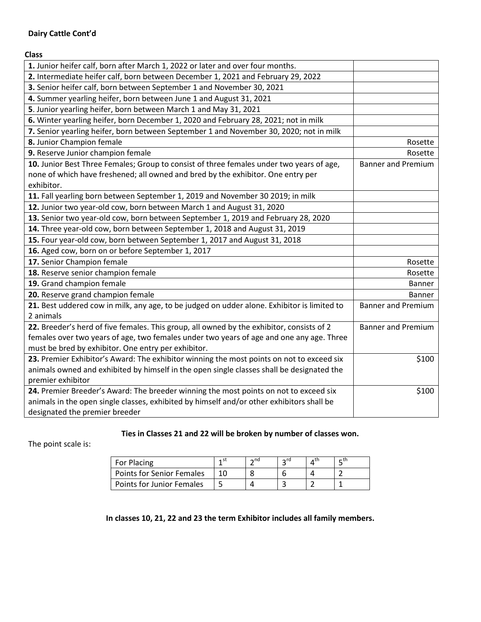# **Dairy Cattle Cont'd**

**Class**

| 1. Junior heifer calf, born after March 1, 2022 or later and over four months.              |                           |
|---------------------------------------------------------------------------------------------|---------------------------|
| 2. Intermediate heifer calf, born between December 1, 2021 and February 29, 2022            |                           |
| 3. Senior heifer calf, born between September 1 and November 30, 2021                       |                           |
| 4. Summer yearling heifer, born between June 1 and August 31, 2021                          |                           |
| 5. Junior yearling heifer, born between March 1 and May 31, 2021                            |                           |
| 6. Winter yearling heifer, born December 1, 2020 and February 28, 2021; not in milk         |                           |
| 7. Senior yearling heifer, born between September 1 and November 30, 2020; not in milk      |                           |
| 8. Junior Champion female                                                                   | Rosette                   |
| 9. Reserve Junior champion female                                                           | Rosette                   |
| 10. Junior Best Three Females; Group to consist of three females under two years of age,    | <b>Banner and Premium</b> |
| none of which have freshened; all owned and bred by the exhibitor. One entry per            |                           |
| exhibitor.                                                                                  |                           |
| 11. Fall yearling born between September 1, 2019 and November 30 2019; in milk              |                           |
| 12. Junior two year-old cow, born between March 1 and August 31, 2020                       |                           |
| 13. Senior two year-old cow, born between September 1, 2019 and February 28, 2020           |                           |
| 14. Three year-old cow, born between September 1, 2018 and August 31, 2019                  |                           |
| 15. Four year-old cow, born between September 1, 2017 and August 31, 2018                   |                           |
| 16. Aged cow, born on or before September 1, 2017                                           |                           |
| 17. Senior Champion female                                                                  | Rosette                   |
| 18. Reserve senior champion female                                                          | Rosette                   |
| 19. Grand champion female                                                                   | <b>Banner</b>             |
| 20. Reserve grand champion female                                                           | Banner                    |
| 21. Best uddered cow in milk, any age, to be judged on udder alone. Exhibitor is limited to | <b>Banner and Premium</b> |
| 2 animals                                                                                   |                           |
| 22. Breeder's herd of five females. This group, all owned by the exhibitor, consists of 2   | <b>Banner and Premium</b> |
| females over two years of age, two females under two years of age and one any age. Three    |                           |
| must be bred by exhibitor. One entry per exhibitor.                                         |                           |
| 23. Premier Exhibitor's Award: The exhibitor winning the most points on not to exceed six   | \$100                     |
| animals owned and exhibited by himself in the open single classes shall be designated the   |                           |
| premier exhibitor                                                                           |                           |
| 24. Premier Breeder's Award: The breeder winning the most points on not to exceed six       | \$100                     |
| animals in the open single classes, exhibited by himself and/or other exhibitors shall be   |                           |
| designated the premier breeder                                                              |                           |

# **Ties in Classes 21 and 22 will be broken by number of classes won.**

The point scale is:

| For Placing                      | $\sim$ nd | $\sim$ rd | – tn |
|----------------------------------|-----------|-----------|------|
| <b>Points for Senior Females</b> |           |           |      |
| Points for Junior Females        |           |           |      |

**In classes 10, 21, 22 and 23 the term Exhibitor includes all family members.**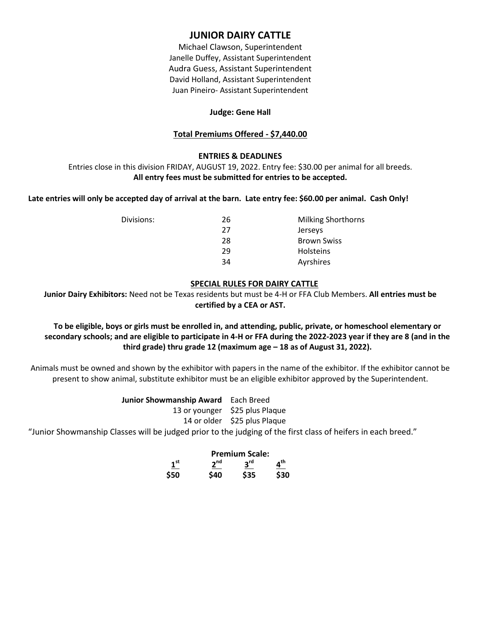# **JUNIOR DAIRY CATTLE**

Michael Clawson, Superintendent Janelle Duffey, Assistant Superintendent Audra Guess, Assistant Superintendent David Holland, Assistant Superintendent Juan Pineiro- Assistant Superintendent

## **Judge: Gene Hall**

# **Total Premiums Offered - \$7,440.00**

## **ENTRIES & DEADLINES**

Entries close in this division FRIDAY, AUGUST 19, 2022. Entry fee: \$30.00 per animal for all breeds. **All entry fees must be submitted for entries to be accepted.**

## **Late entries will only be accepted day of arrival at the barn. Late entry fee: \$60.00 per animal. Cash Only!**

| 26 | <b>Milking Shorthorns</b> |
|----|---------------------------|
| 27 | <b>Jerseys</b>            |
| 28 | <b>Brown Swiss</b>        |
| 29 | <b>Holsteins</b>          |
| 34 | Ayrshires                 |
|    |                           |

### **SPECIAL RULES FOR DAIRY CATTLE**

**Junior Dairy Exhibitors:** Need not be Texas residents but must be 4-H or FFA Club Members. **All entries must be certified by a CEA or AST.**

# **To be eligible, boys or girls must be enrolled in, and attending, public, private, or homeschool elementary or secondary schools; and are eligible to participate in 4-H or FFA during the 2022-2023 year if they are 8 (and in the third grade) thru grade 12 (maximum age – 18 as of August 31, 2022).**

Animals must be owned and shown by the exhibitor with papers in the name of the exhibitor. If the exhibitor cannot be present to show animal, substitute exhibitor must be an eligible exhibitor approved by the Superintendent.

> **Junior Showmanship Award** Each Breed 13 or younger \$25 plus Plaque 14 or older \$25 plus Plaque

"Junior Showmanship Classes will be judged prior to the judging of the first class of heifers in each breed."

### **Premium Scale:**

|                 |                 | .               |                 |  |
|-----------------|-----------------|-----------------|-----------------|--|
| $1^{\text{st}}$ | 2 <sup>nd</sup> | 3 <sup>rd</sup> | $4^{\text{th}}$ |  |
| \$50            | \$40            | \$35            | \$30            |  |